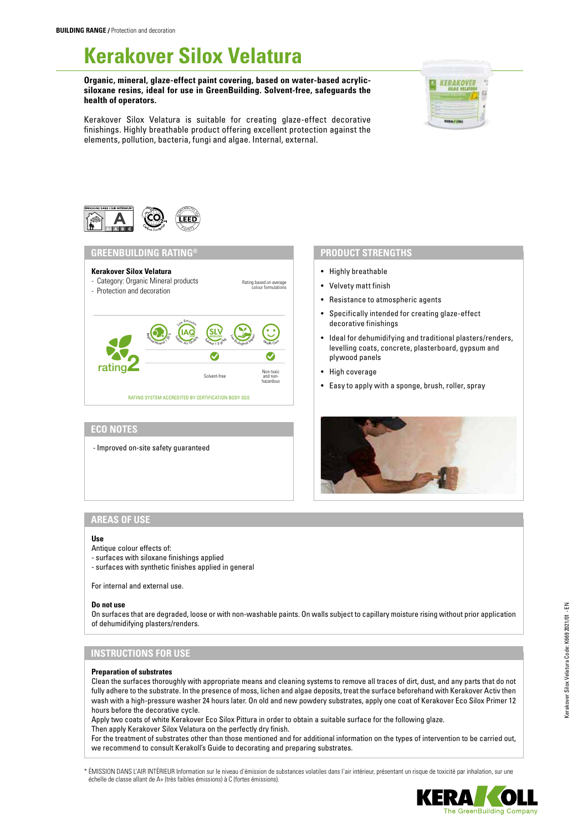# **Kerakover Silox Velatura**

**Organic, mineral, glaze-effect paint covering, based on water-based acrylicsiloxane resins, ideal for use in GreenBuilding. Solvent-free, safeguards the health of operators.**



Kerakover Silox Velatura is suitable for creating glaze-effect decorative finishings. Highly breathable product offering excellent protection against the elements, pollution, bacteria, fungi and algae. Internal, external.

> Rating based on average colour formulations



## **Kerakover Silox Velatura**

- Category: Organic Mineral products - Protection and decoration
- Low Emission  $\left(\underset{\boldsymbol{\zeta}_{\mathcal{A}}\sim\boldsymbol{\zeta}_{\mathcal{A}}}{\sum_{\boldsymbol{\zeta}_{\mathcal{A}}}\boldsymbol{\zeta}_{\mathcal{A}}}\right)$ SLV REDUCED <sup>L</sup>o<sup>w</sup> <sup>E</sup>col<sup>o</sup>gica<sup>l</sup> <sup>I</sup>mpac<sup>t</sup> Regional Mineral <sub>20</sub>  $S_{\text{Konat}} \leq 5 \text{ g}^{\text{R}}$ <sup>H</sup><sup>e</sup>alt<sup>h</sup> <sup>C</sup>ar<sup>e</sup>  $\bullet$ rating Non-toxic Solvent-free and nonhazardous RATING SYSTEM ACCREDITED BY CERTIFICATION BODY SGS

### **ECO NOTES**

- Improved on-site safety guaranteed

- Highly breathable
- Velvety matt finish
- Resistance to atmospheric agents
- Specifically intended for creating glaze-effect decorative finishings
- Ideal for dehumidifying and traditional plasters/renders, levelling coats, concrete, plasterboard, gypsum and plywood panels
- High coverage
- Easy to apply with a sponge, brush, roller, spray



# **AREAS OF USE**

#### **Use**

- Antique colour effects of:
- surfaces with siloxane finishings applied
- surfaces with synthetic finishes applied in general

For internal and external use.

#### **Do not use**

On surfaces that are degraded, loose or with non-washable paints. On walls subject to capillary moisture rising without prior application of dehumidifying plasters/renders.

# **INSTRUCTIONS FOR USE**

#### **Preparation of substrates**

Clean the surfaces thoroughly with appropriate means and cleaning systems to remove all traces of dirt, dust, and any parts that do not fully adhere to the substrate. In the presence of moss, lichen and algae deposits, treat the surface beforehand with Kerakover Activ then wash with a high-pressure washer 24 hours later. On old and new powdery substrates, apply one coat of Kerakover Eco Silox Primer 12 hours before the decorative cycle.

Apply two coats of white Kerakover Eco Silox Pittura in order to obtain a suitable surface for the following glaze. Then apply Kerakover Silox Velatura on the perfectly dry finish.

For the treatment of substrates other than those mentioned and for additional information on the types of intervention to be carried out, we recommend to consult Kerakoll's Guide to decorating and preparing substrates.

\* ÉMISSION DANS L'AIR INTÉRIEUR Information sur le niveau d'émission de substances volatiles dans l'air intérieur, présentant un risque de toxicité par inhalation, sur une échelle de classe allant de A+ (très faibles émissions) à C (fortes émissions).

Kerakover Silox Velatura Code: K669 2021/01 - EN

Kerakover Silox Velatura Code: K669 2021/01 - EN